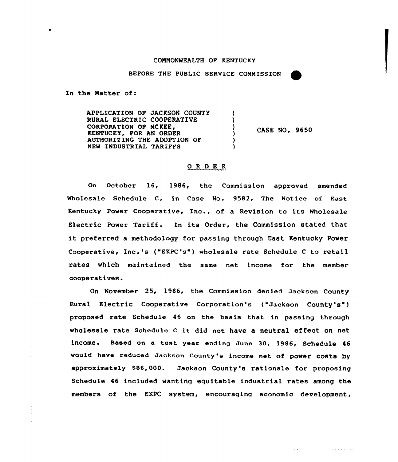## COMMONWEALTH OF KENTUCKY

BEFORE THE PUBLIC SERVICE COMMISSION

In the Natter of:

á

APPLICATION OF JACKSON COUNTY N RURAI ELECTRIC COOPERATIVE  $\lambda$ CORPORATION OF MCKEE. ١ CASE NO. 9650 KENTUCKY, FOR AN ORDER  $\lambda$ AUTHORIZING THE ADOPTION OF NEW INDUSTRIAL TARIFFS

## ORDER

On October 16, 1986, the Commission approved amended Wholesale Schedule C, in Case No. 9582, The Notice of East Kentucky Power Cooperative, Inc., of a Revision to its Wholesale Electric Power Tariff. In its Order, the Commission stated that it preferred <sup>a</sup> methodology for passing through East Kentucky Power Cooperative< Inc.'s ("EKPC's") wholesale rate Schedule <sup>C</sup> to retail rates which maintained the same net income for the member cooperatives.

On November 25, 1986, the Commission denied Jackson County Rural Electric Cooperative Corporation's ("Jackson County's") proposed rate Schedule 46 on the basis that in passing through wholesale rate Schedule <sup>C</sup> it did not have <sup>a</sup> neutral effect on net income. Based on <sup>a</sup> test year ending June 30, 1986, Schedule <sup>46</sup> would have reduced Jackson County's income net of power costs by approximately S86,000. Jackson County's rationale for proposing Schedule 46 included wanting equitable industrial rates among the members of the EKPC system, encouraging economic development,

 $\alpha$  . The contract is defined by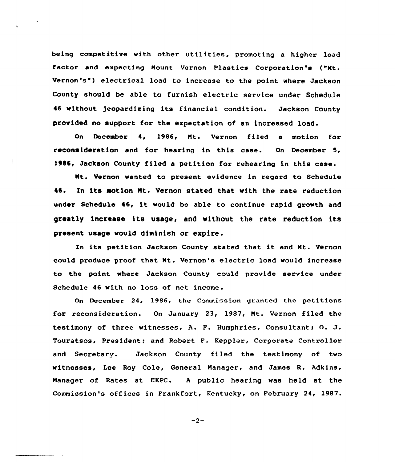being competitive with other utilities, promoting <sup>a</sup> higher load factor and expecting Nount Vernon Plastics Corporation's ("Nt. Vernon's ) electrical load to increase to the point where Jackson County should be able to furnish electric service under Schedule <sup>46</sup> without )eopardixing its financial condition. Jackson County provided no support for the expectation of an increased load.

On December 4, 1986, Nt. Vernon filed a motion for reconsideration and for hearing in this case. On December 1986, Jackson County filed a petition for rehearing in this case.

Nt. Vernon «anted to present evidence in regard to Schedule 45. In its motion Mt. Vernon stated that with the rate reduction under Schedule 46, it would be able to continue rapid growth and greatly increase its usage< and without the rate reduction its present usage vould diminish or expire.

In its petition Jackson County stated that it and Nt. Vernon could produce proof that Nt. Vernon's electric load would increase to the point where Jackson County could provide service under Schedule 46 with no loss of net income.

On December 24, 1986, the Commission granted the petitions for reconsideration. On January 23, 1987, Nt. Vernon filed the testimony of three witnesses, A. F. Humphries, Consultant; O. J. Touratsos, President; and Robert F. Keppler, Corporate Controller and Secretary. Jackson County filed the testimony of two witnesses, Lee Roy Cole, General Manager, and James R. Adkins, Manager of Rates at EKPC. <sup>A</sup> public hearing was held at the Commission's offices in Frankfort, Kentucky, on February 24, 1987.

 $-2-$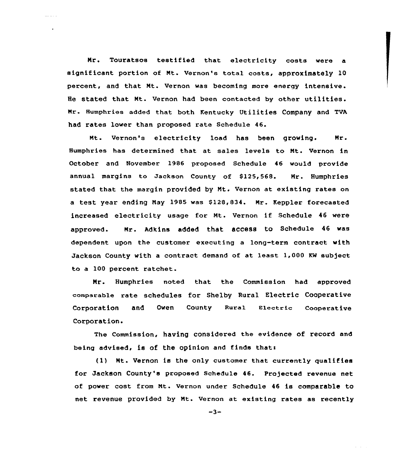Nr. Touratsos testified that electricity costs were a significant portion of Mt. Vernon's total costs, approximately 10 percent, and that Mt. Vernon was becoming more energy intensive. He stated that Nt. Vernon had been contacted by other utilities. Mr. Humphries added that both Kentucky Utilities Company and TVA had rates lower than proposed rate Schedule 46.

Nt. Vernon's electricity load has been growing. Mr. Humphries has determined that at sales levels to Nt. Vernon in October and November 1986 proposed Schedule 46 would provide annual margins to Jackson County of \$125,568. Mr. Humphries stated that the margin provided by Mt. Vernon at existing rates on a test year ending May 1985 was \$128,834. Mr. Keppler forecasted increased electricity usage for Nt. Vernon if Schedule <sup>46</sup> were approved- Nr- Adkins added that access to Schedule 46 was dependent upon the customer executing a long-term contract with Jackson County with a contract demand of at least 1,000 KW subject to a 100 percent ratchet.

Nr. Humphries noted that the Commission had approved comparable rate schedules for Shelby Rural Electric Cooperative Corporation and Owen County Rural Electric Cooperativ Corporation.

The Commission, having considered the evidence of record and being advised, is of the opinion and finds that:

(11 Nt. Vernon is the only customer that currently qualifies for Jackson County's proposed Schedule 46. Pro/ected xevenue net of power cost from Mt. Vernon under Schedule 46 is comparable to net revenue provided by Nt. Vernon at existing rates as recently

 $-3-$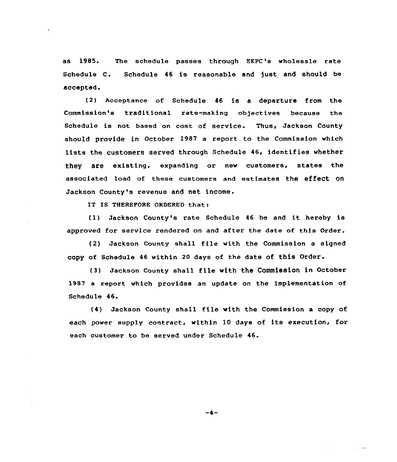as l985. The schedule passes through EKPC's wholesale rate Schedule C. Schedule 46 is reasonable and Just and should be accepted.

{2) Acceptance of Schedule 46 is a departure from the Commission's traditional rate-making objectives because the Schedule is not based on cost of service. Thus, Jackson County should provide in October 1987 a report to the Commission which lists the customers served through Schedule 46, identifies whether they are existing, expanding or new customers, states the associated load of these customers and estimates the effect on Jackson County's revenue and net income.

IT IS THEREFORE ORDERED that:

(l) Jackson County's rate Schedule <sup>46</sup> be and it hereby is approved for service rendered on and after the date of this Order.

{2) Jackson County shall file with the Commission <sup>a</sup> signed copy of Schedule 46 within 20 days of the date of this Order.

(3) Jackson County shall file with the Commission in October 1987 a report which provides an update on the implementation of Schedule 46.

{4) Jackson County shall file with the Commission <sup>a</sup> copy of each power supply contract, within 10 days of its execution, for each customer to be served under Schedule 46.

 $-4-$